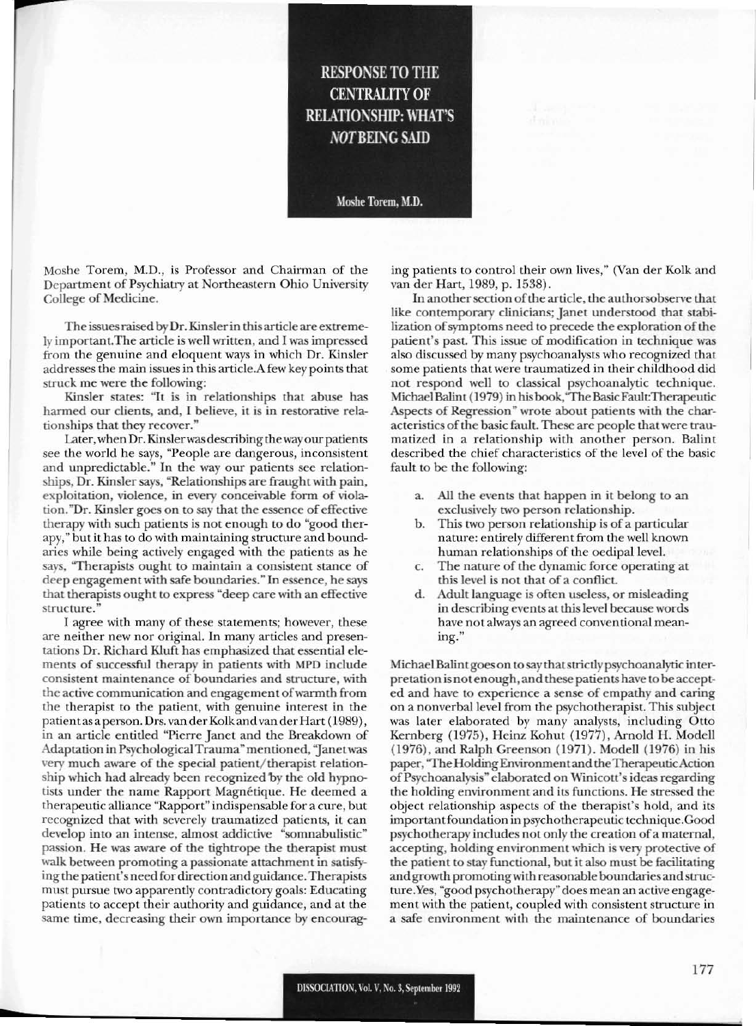## **RESPONSE TO THE CENTRALITY OF RELATIONSHIP: WHAT'S NOT BEING SAID**

Moshe Torem, M.D.

Moshe Torem, M.D., is Professor and Chairman of the Department of Psychiatry at Northeastern Ohio University College of Medicine.

The issuesraised by Dr. Kinslerin thisartide are extremely important.The article is well written, and I was impressed from the genuine and eloquent ways in which Dr. Kinsler addresses the main issues in this artide.A few key points that struck me were the following:

Kinsler states: "It is in relationships that abuse has harmed our clients, and, I believe, it is in restorative relationships that they recover."

Later,when Dr. Kinslerwasdescribing the way our patients see the world he says, "People arc dangerous, inconsistent and unpredictable." In the way our patients see relationships, Dr. Kinsler says, "Relationships are fraught with pain, exploitation, violence, in every conceivable form of violation. "Dr. Kinsler goes on to say that the essence of effective therapy with such patients is not enough to do "good therapy," but it has to do with maintaining structure and boundaries while being actively engaged with the patients as he says, "Therapists ought to maintain a consistent stance of deep engagement with safe boundaries." In essence, he says that therapists ought to express "deep care with an effective structure.

I agree with many of these statements; however, these are neither new nor original. In many artides and presentations Dr. Richard Klurt has emphasized that essential elements of successful therapy in patients with MPD include consistent maintenance of boundaries and structure, with the active communication and engagement ofwarmth from the therapist to the patiem, with genuine interest in the patient as a person. Drs. van der Kolk and van der Hart (1989), in an article entitled "Pierre Janet and the Breakdown of Adaptation in Psychological Trauma" mentioned, "Janetwas very much aware of the special patient/therapist relationship which had already been recognized by the old hypnotists under the name Rapport Magnétique. He deemed a therapeutic alliance "Rapport" indispensable for a cure, but recognized that with severely traumatized patients, it can develop into an intense, almost addictive "somnabulistic" passion. He was aware of the tightrope the therapist must walk between promoting a passionate attachment in satisfying the patient's need for direction and guidance.Therapists must pursue two apparently contradictory goals: Educating patients to accept their authority and guidance, and at the same time, decreasing their own importance by encouraging patients to control their own lives," (Van der Kolk and van der Hart, 1989, p. 1538).

In another section of the article, the authorsobserve that like contemporary clinicians; Janet understood that stabilization of symptoms need to precede the exploration of the patient's past. This issue of modification in technique was also discussed by many psychoanalysts who recognized that some patients that were traumatized in their childhood did not respond well to classical psychoanalytic technique. Michael Balint (1979) in his book, "The Basic Fault: Therapeutic Aspects of Regression" wrote about patients with the characteristics of the basic fault. These are people that were traumatized in a relationship with another person. Balint described the chief characteristics of the level of the basic fault to be the following:

- a. All the events that happen in it belong to an exclusively two person relationship.
- b. This two person relationship is of a particular nature: entirely different from the well known human relationships of the oedipal level.
- c. The nature of the dynamic force operating at this level is not that of a conflict.
- d. Adult language is often useless, or misleading in describing events at thislevel because words have not always an agreed conventional meaning."

Michael Balint goes on to say that strictly psychoanalytic interpretation is notenough, and these patients have to be accepted and have to experience a sense of empathy and caring on a nonverbal level from the psychotherapist. This subject was later elaborated by many analysts, including Otto Kernberg (1975), Heinz Kohut (1977), Arnold H. Modell (1976), and Ralph Creenson (1971). Modell (1976) in his paper, "The Holding Environment and the Therapeutic Action of Psychoanalysis" elaborated on Winicott's ideas regarding the holding environment and its functions. He stressed the object relationship aspects of the therapist's hold, and its important foundation in psychotherapeutic technique.Good psychotherapy includes not only the creation of a maternal, accepting, holding environment which is very protective of the patient to stay functional, but it also must be facilitating and growth promotingwith reasonable boundariesandstructure.Yes, "good psychotherapy" does mean an active engagement with the patient, coupled with consistent structure in a safe environment with the maintenance of boundaries